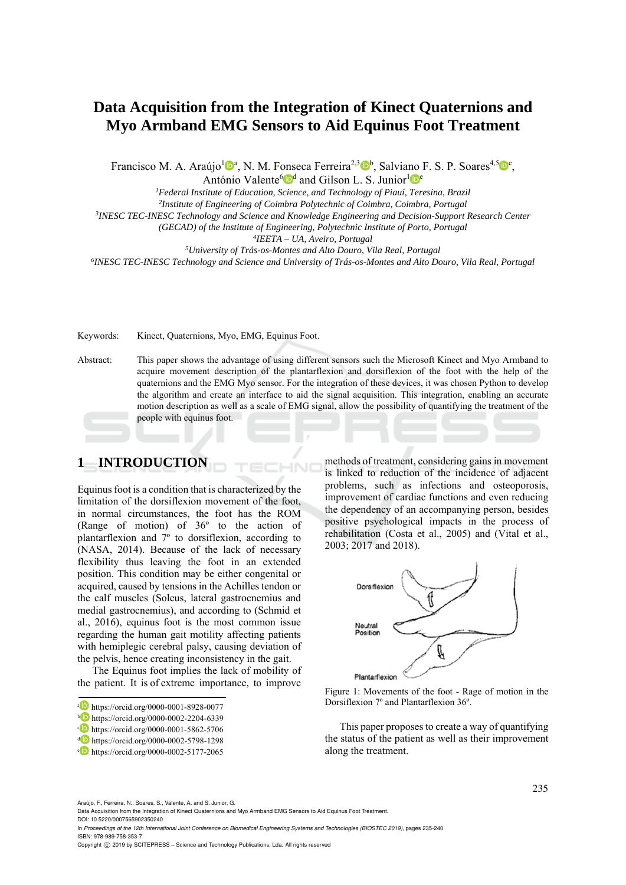# **Data Acquisition from the Integration of Kinect Quaternions and Myo Armband EMG Sensors to Aid Equinus Foot Treatment**

Francisco M. A. Araújo<sup>1</sup><sup>0</sup><sup>a</sup>, N. M. Fonseca Ferreira<sup>2,3</sup><sup>0</sup><sup>b</sup>, Salviano F. S. P. Soares<sup>4,5</sup><sup>0</sup><sup>c</sup>,

António Valente<sup>6 d</sup> and Gilson L. S. Junior<sup>1</sup>  $\mathbb{R}^e$ <sup>1</sup> Federal Institute of Education, Science, and Technology of Piauí, Teresina, Brazil

<sup>2</sup>Institute of Engineering of Coimbra Polytechnic of Coimbra, Coimbra, Portugal<br><sup>3</sup>INESC TEC-INESC Technology and Science and Knowledge Engineering and Decision-Support Research Center

(GECAD) of the Institute of Engineering, Polytechnic Institute of Porto, Portugal<br><sup>4</sup>IEETA – UA, Aveiro, Portugal<br><sup>5</sup>University of Trás-os-Montes and Alto Douro, Vila Real, Portugal<br><sup>6</sup>INESC TEC-INESC Technology and Scien

Keywords: Kinect, Quaternions, Myo, EMG, Equinus Foot.

Abstract: This paper shows the advantage of using different sensors such the Microsoft Kinect and Myo Armband to acquire movement description of the plantarflexion and dorsiflexion of the foot with the help of the quaternions and the EMG Myo sensor. For the integration of these devices, it was chosen Python to develop the algorithm and create an interface to aid the signal acquisition. This integration, enabling an accurate motion description as well as a scale of EMG signal, allow the possibility of quantifying the treatment of the people with equinus foot.

## **1 INTRODUCTION**

Equinus foot is a condition that is characterized by the limitation of the dorsiflexion movement of the foot, in normal circumstances, the foot has the ROM (Range of motion) of 36º to the action of plantarflexion and 7º to dorsiflexion, according to (NASA, 2014). Because of the lack of necessary flexibility thus leaving the foot in an extended position. This condition may be either congenital or acquired, caused by tensions in the Achilles tendon or the calf muscles (Soleus, lateral gastrocnemius and medial gastrocnemius), and according to (Schmid et al., 2016), equinus foot is the most common issue regarding the human gait motility affecting patients with hemiplegic cerebral palsy, causing deviation of the pelvis, hence creating inconsistency in the gait.

The Equinus foot implies the lack of mobility of the patient. It is of extreme importance, to improve

methods of treatment, considering gains in movement is linked to reduction of the incidence of adjacent problems, such as infections and osteoporosis, improvement of cardiac functions and even reducing the dependency of an accompanying person, besides positive psychological impacts in the process of rehabilitation (Costa et al., 2005) and (Vital et al., 2003; 2017 and 2018).



Figure 1: Movements of the foot - Rage of motion in the Dorsiflexion 7º and Plantarflexion 36º.

This paper proposes to create a way of quantifying the status of the patient as well as their improvement along the treatment.

Araújo, F., Ferreira, N., Soares, S., Valente, A. and S. Junior, G.

a https://orcid.org/0000-0001-8928-0077<br>
b https://orcid.org/0000-0002-2204-6339<br>
c https://orcid.org/0000-0001-5862-5706<br>
d https://orcid.org/0000-0002-5177-2065<br>
https://orcid.org/0000-0002-5177-2065

Data Acquisition from the Integration of Kinect Quaternions and Myo Armband EMG Sensors to Aid Equinus Foot Treatment. DOI: 10.5220/0007565902350240

In *Proceedings of the 12th International Joint Conference on Biomedical Engineering Systems and Technologies (BIOSTEC 2019)*, pages 235-240 ISBN: 978-989-758-353-7

Copyright © 2019 by SCITEPRESS - Science and Technology Publications, Lda. All rights reserved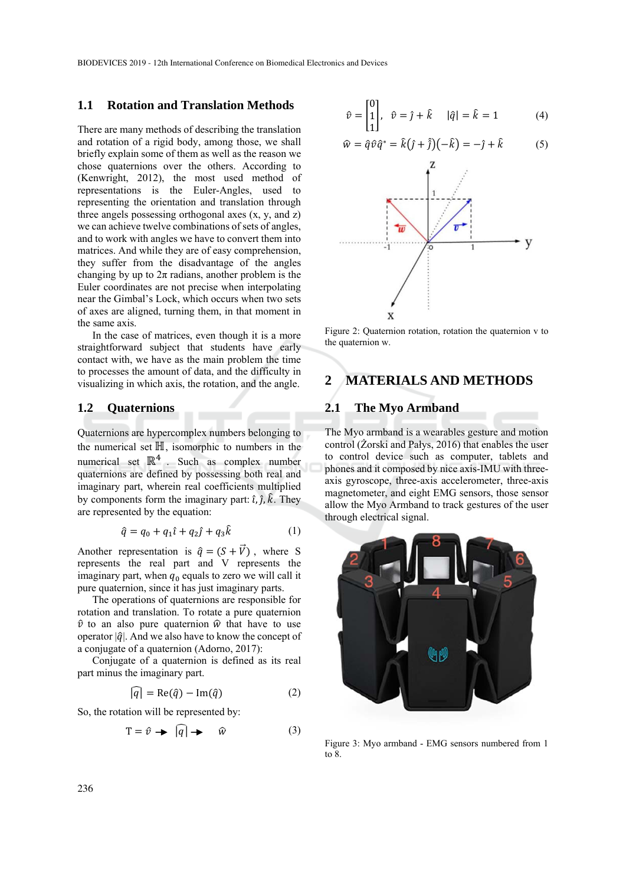BIODEVICES 2019 - 12th International Conference on Biomedical Electronics and Devices

### **1.1 Rotation and Translation Methods**

There are many methods of describing the translation and rotation of a rigid body, among those, we shall briefly explain some of them as well as the reason we chose quaternions over the others. According to (Kenwright, 2012), the most used method of representations is the Euler-Angles, used to representing the orientation and translation through three angels possessing orthogonal axes (x, y, and z) we can achieve twelve combinations of sets of angles, and to work with angles we have to convert them into matrices. And while they are of easy comprehension, they suffer from the disadvantage of the angles changing by up to  $2\pi$  radians, another problem is the Euler coordinates are not precise when interpolating near the Gimbal's Lock, which occurs when two sets of axes are aligned, turning them, in that moment in the same axis.

In the case of matrices, even though it is a more straightforward subject that students have early contact with, we have as the main problem the time to processes the amount of data, and the difficulty in visualizing in which axis, the rotation, and the angle.

## **1.2 Quaternions**

Quaternions are hypercomplex numbers belonging to the numerical set  $\mathbb H$ , isomorphic to numbers in the numerical set  $\mathbb{R}^4$ . Such as complex number quaternions are defined by possessing both real and imaginary part, wherein real coefficients multiplied by components form the imaginary part:  $\hat{i}$ ,  $\hat{j}$ ,  $\hat{k}$ . They are represented by the equation:

$$
\hat{q} = q_0 + q_1 \hat{\imath} + q_2 \hat{\jmath} + q_3 \hat{k} \tag{1}
$$

Another representation is  $\hat{q} = (S + \vec{V})$ , where S represents the real part and V represents the imaginary part, when  $q_0$  equals to zero we will call it pure quaternion, since it has just imaginary parts.

The operations of quaternions are responsible for rotation and translation. To rotate a pure quaternion  $\hat{v}$  to an also pure quaternion  $\hat{w}$  that have to use operator  $|\hat{q}|$ . And we also have to know the concept of a conjugate of a quaternion (Adorno, 2017):

Conjugate of a quaternion is defined as its real part minus the imaginary part.

$$
\widehat{|q|} = \text{Re}(\hat{q}) - \text{Im}(\hat{q}) \tag{2}
$$

So, the rotation will be represented by:

$$
T = \hat{v} \rightarrow \widehat{|q|} \rightarrow \widehat{w} \tag{3}
$$

$$
\hat{v} = \begin{bmatrix} 0 \\ 1 \\ 1 \end{bmatrix}, \quad \hat{v} = \hat{j} + \hat{k} \qquad |\hat{q}| = \hat{k} = 1 \tag{4}
$$

$$
\widehat{w} = \widehat{q}\widehat{v}\widehat{q}^* = \widehat{k}(\widehat{j} + \widehat{j})(-\widehat{k}) = -\widehat{j} + \widehat{k} \tag{5}
$$



Figure 2: Quaternion rotation, rotation the quaternion v to the quaternion w.

## **2 MATERIALS AND METHODS**

### **2.1 The Myo Armband**

The Myo armband is a wearables gesture and motion control (Żorski and Pałys, 2016) that enables the user to control device such as computer, tablets and phones and it composed by nice axis-IMU with threeaxis gyroscope, three-axis accelerometer, three-axis magnetometer, and eight EMG sensors, those sensor allow the Myo Armband to track gestures of the user through electrical signal.



Figure 3: Myo armband - EMG sensors numbered from 1 to 8.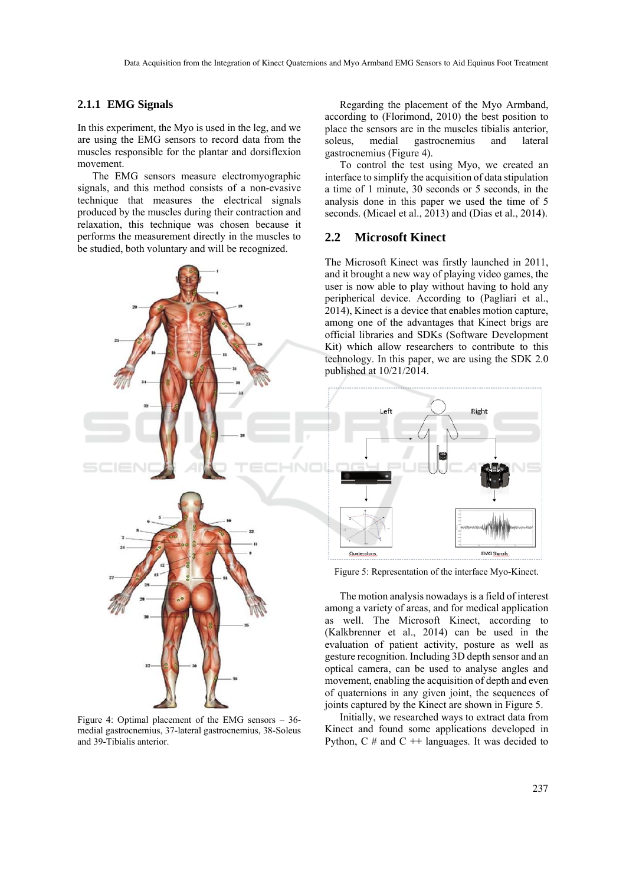#### **2.1.1 EMG Signals**

In this experiment, the Myo is used in the leg, and we are using the EMG sensors to record data from the muscles responsible for the plantar and dorsiflexion movement.

The EMG sensors measure electromyographic signals, and this method consists of a non-evasive technique that measures the electrical signals produced by the muscles during their contraction and relaxation, this technique was chosen because it performs the measurement directly in the muscles to be studied, both voluntary and will be recognized.



Figure 4: Optimal placement of the EMG sensors – 36 medial gastrocnemius, 37-lateral gastrocnemius, 38-Soleus and 39-Tibialis anterior.

Regarding the placement of the Myo Armband, according to (Florimond, 2010) the best position to place the sensors are in the muscles tibialis anterior, soleus, medial gastrocnemius and lateral gastrocnemius (Figure 4).

To control the test using Myo, we created an interface to simplify the acquisition of data stipulation a time of 1 minute, 30 seconds or 5 seconds, in the analysis done in this paper we used the time of 5 seconds. (Micael et al., 2013) and (Dias et al., 2014).

#### **2.2 Microsoft Kinect**

The Microsoft Kinect was firstly launched in 2011, and it brought a new way of playing video games, the user is now able to play without having to hold any peripherical device. According to (Pagliari et al., 2014), Kinect is a device that enables motion capture, among one of the advantages that Kinect brigs are official libraries and SDKs (Software Development Kit) which allow researchers to contribute to this technology. In this paper, we are using the SDK 2.0 published at 10/21/2014.



Figure 5: Representation of the interface Myo-Kinect.

The motion analysis nowadays is a field of interest among a variety of areas, and for medical application as well. The Microsoft Kinect, according to (Kalkbrenner et al., 2014) can be used in the evaluation of patient activity, posture as well as gesture recognition. Including 3D depth sensor and an optical camera, can be used to analyse angles and movement, enabling the acquisition of depth and even of quaternions in any given joint, the sequences of joints captured by the Kinect are shown in Figure 5.

Initially, we researched ways to extract data from Kinect and found some applications developed in Python,  $C \#$  and  $C +\frac{1}{2}$  languages. It was decided to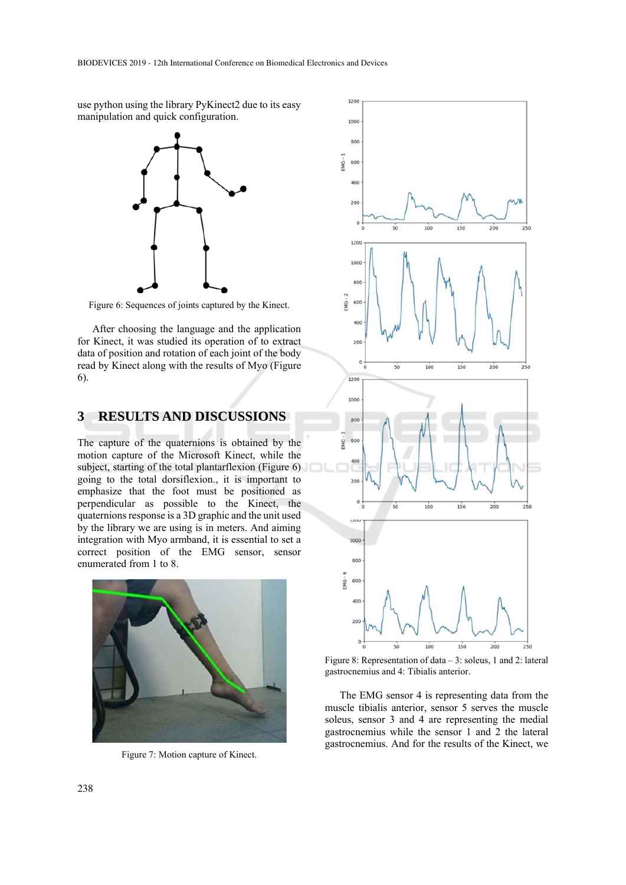use python using the library PyKinect2 due to its easy manipulation and quick configuration.



Figure 6: Sequences of joints captured by the Kinect.

After choosing the language and the application for Kinect, it was studied its operation of to extract data of position and rotation of each joint of the body read by Kinect along with the results of Myo (Figure 6).

## **3 RESULTS AND DISCUSSIONS**

The capture of the quaternions is obtained by the motion capture of the Microsoft Kinect, while the subject, starting of the total plantarflexion (Figure 6) going to the total dorsiflexion., it is important to emphasize that the foot must be positioned as perpendicular as possible to the Kinect, the quaternions response is a 3D graphic and the unit used by the library we are using is in meters. And aiming integration with Myo armband, it is essential to set a correct position of the EMG sensor, sensor enumerated from 1 to 8.



Figure 7: Motion capture of Kinect.



Figure 8: Representation of data – 3: soleus, 1 and 2: lateral gastrocnemius and 4: Tibialis anterior.

The EMG sensor 4 is representing data from the muscle tibialis anterior, sensor 5 serves the muscle soleus, sensor 3 and 4 are representing the medial gastrocnemius while the sensor 1 and 2 the lateral gastrocnemius. And for the results of the Kinect, we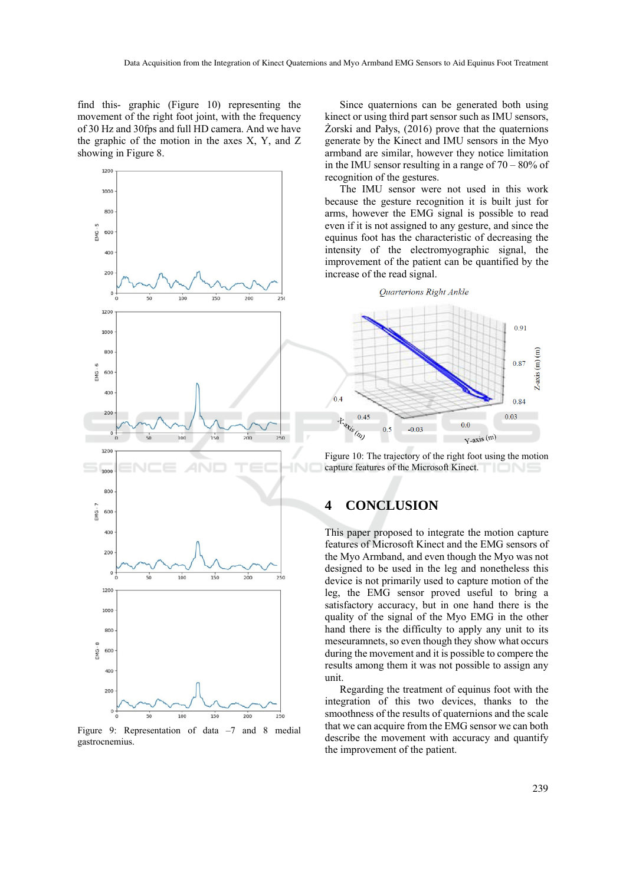find this- graphic (Figure 10) representing the movement of the right foot joint, with the frequency of 30 Hz and 30fps and full HD camera. And we have the graphic of the motion in the axes X, Y, and Z showing in Figure 8.



Figure 9: Representation of data –7 and 8 medial gastrocnemius.

Since quaternions can be generated both using kinect or using third part sensor such as IMU sensors, Żorski and Pałys, (2016) prove that the quaternions generate by the Kinect and IMU sensors in the Myo armband are similar, however they notice limitation in the IMU sensor resulting in a range of 70 – 80% of recognition of the gestures.

The IMU sensor were not used in this work because the gesture recognition it is built just for arms, however the EMG signal is possible to read even if it is not assigned to any gesture, and since the equinus foot has the characteristic of decreasing the intensity of the electromyographic signal, the improvement of the patient can be quantified by the increase of the read signal.

#### Quarterions Right Ankle



Figure 10: The trajectory of the right foot using the motion capture features of the Microsoft Kinect.

## **4 CONCLUSION**

This paper proposed to integrate the motion capture features of Microsoft Kinect and the EMG sensors of the Myo Armband, and even though the Myo was not designed to be used in the leg and nonetheless this device is not primarily used to capture motion of the leg, the EMG sensor proved useful to bring a satisfactory accuracy, but in one hand there is the quality of the signal of the Myo EMG in the other hand there is the difficulty to apply any unit to its meseuramnets, so even though they show what occurs during the movement and it is possible to compere the results among them it was not possible to assign any unit.

Regarding the treatment of equinus foot with the integration of this two devices, thanks to the smoothness of the results of quaternions and the scale that we can acquire from the EMG sensor we can both describe the movement with accuracy and quantify the improvement of the patient.